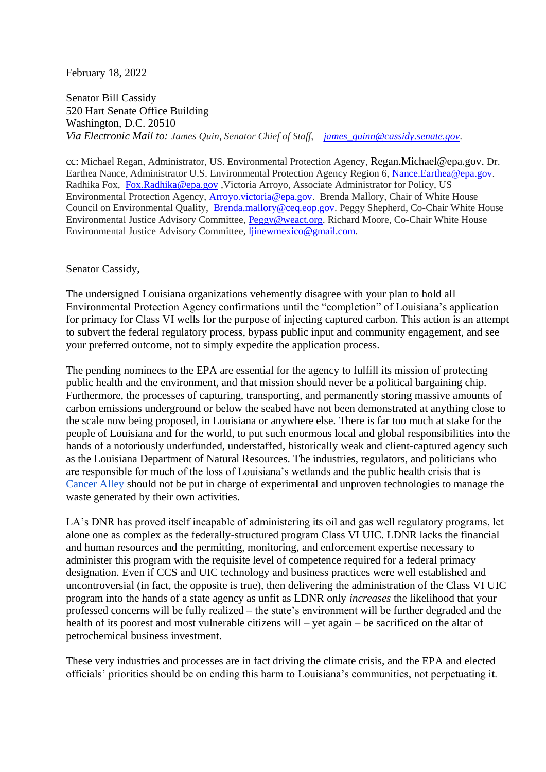## February 18, 2022

Senator Bill Cassidy 520 Hart Senate Office Building Washington, D.C. 20510 *Via Electronic Mail to: James Quin, Senator Chief of Staff, [james\\_quinn@cassidy.senate.gov.](mailto:james_quinn@cassidy.senate.gov)*

cc: Michael Regan, Administrator, US. Environmental Protection Agency, Regan.Michael@epa.gov. Dr. Earthea Nance, Administrator U.S. Environmental Protection Agency Region 6, [Nance.Earthea@epa.gov.](mailto:Nance.Earthea@epa.gov) Radhika Fox, [Fox.Radhika@epa.gov](mailto:Fox.Radhika@epa.gov) ,Victoria Arroyo, Associate Administrator for Policy, US Environmental Protection Agency, [Arroyo.victoria@epa.gov.](mailto:Arroyo.victoria@epa.gov) Brenda Mallory, Chair of White House Council on Environmental Quality, [Brenda.mallory@ceq.eop.gov.](mailto:Brenda.mallory@ceq.eop.gov) Peggy Shepherd, Co-Chair White House Environmental Justice Advisory Committee, [Peggy@weact.org.](mailto:Peggy@weact.org) Richard Moore, Co-Chair White House Environmental Justice Advisory Committee, [ljinewmexico@gmail.com.](mailto:ljinewmexico@gmail.com)

## Senator Cassidy,

The undersigned Louisiana organizations vehemently disagree with your plan to hold all Environmental Protection Agency confirmations until the "completion" of Louisiana's application for primacy for Class VI wells for the purpose of injecting captured carbon. This action is an attempt to subvert the federal regulatory process, bypass public input and community engagement, and see your preferred outcome, not to simply expedite the application process.

The pending nominees to the EPA are essential for the agency to fulfill its mission of protecting public health and the environment, and that mission should never be a political bargaining chip. Furthermore, the processes of capturing, transporting, and permanently storing massive amounts of carbon emissions underground or below the seabed have not been demonstrated at anything close to the scale now being proposed, in Louisiana or anywhere else. There is far too much at stake for the people of Louisiana and for the world, to put such enormous local and global responsibilities into the hands of a notoriously underfunded, understaffed, historically weak and client-captured agency such as the Louisiana Department of Natural Resources. The industries, regulators, and politicians who are responsible for much of the loss of Louisiana's wetlands and the public health crisis that is [Cancer Alley](https://law.tulane.edu/sites/law.tulane.edu/files/u1286/LTR%20Cancer%20Rates%20v%20Pollution-Related%20Risk%202021-6-21%20rev.%202021-6-23.pdf) should not be put in charge of experimental and unproven technologies to manage the waste generated by their own activities.

LA's DNR has proved itself incapable of administering its oil and gas well regulatory programs, let alone one as complex as the federally-structured program Class VI UIC. LDNR lacks the financial and human resources and the permitting, monitoring, and enforcement expertise necessary to administer this program with the requisite level of competence required for a federal primacy designation. Even if CCS and UIC technology and business practices were well established and uncontroversial (in fact, the opposite is true), then delivering the administration of the Class VI UIC program into the hands of a state agency as unfit as LDNR only *increases* the likelihood that your professed concerns will be fully realized – the state's environment will be further degraded and the health of its poorest and most vulnerable citizens will – yet again – be sacrificed on the altar of petrochemical business investment.

These very industries and processes are in fact driving the climate crisis, and the EPA and elected officials' priorities should be on ending this harm to Louisiana's communities, not perpetuating it.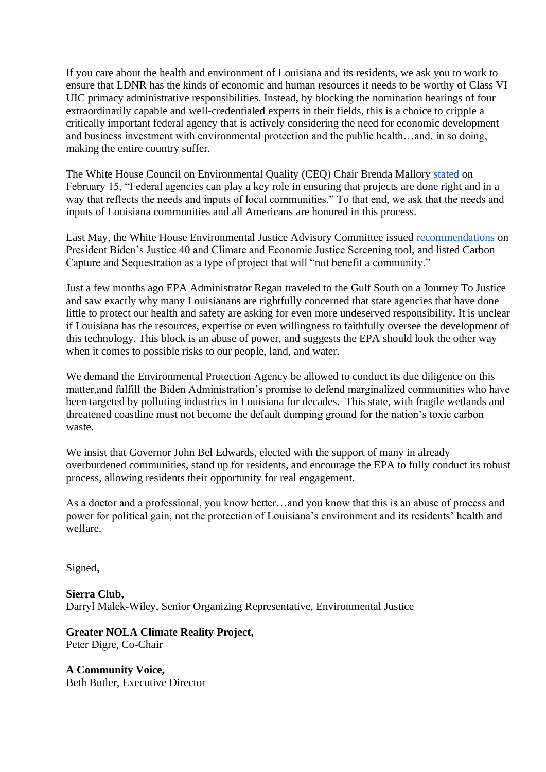If you care about the health and environment of Louisiana and its residents, we ask you to work to ensure that LDNR has the kinds of economic and human resources it needs to be worthy of Class VI UIC primacy administrative responsibilities. Instead, by blocking the nomination hearings of four extraordinarily capable and well-credentialed experts in their fields, this is a choice to cripple a critically important federal agency that is actively considering the need for economic development and business investment with environmental protection and the public health…and, in so doing, making the entire country suffer.

The White House Council on Environmental Quality (CEQ) Chair Brenda Mallory [stated](https://www.whitehouse.gov/ceq/news-updates/2022/02/15/ceq-issues-new-guidance-to-responsibly-develop-carbon-capture-utilization-and-sequestration/) on February 15, "Federal agencies can play a key role in ensuring that projects are done right and in a way that reflects the needs and inputs of local communities." To that end, we ask that the needs and inputs of Louisiana communities and all Americans are honored in this process.

Last May, the White House Environmental Justice Advisory Committee issued [recommendations](https://legacy-assets.eenews.net/open_files/assets/2021/05/17/document_ew_01.pdf) on President Biden's Justice 40 and Climate and Economic Justice Screening tool, and listed Carbon Capture and Sequestration as a type of project that will "not benefit a community."

Just a few months ago EPA Administrator Regan traveled to the Gulf South on a Journey To Justice and saw exactly why many Louisianans are rightfully concerned that state agencies that have done little to protect our health and safety are asking for even more undeserved responsibility. It is unclear if Louisiana has the resources, expertise or even willingness to faithfully oversee the development of this technology. This block is an abuse of power, and suggests the EPA should look the other way when it comes to possible risks to our people, land, and water.

We demand the Environmental Protection Agency be allowed to conduct its due diligence on this matter,and fulfill the Biden Administration's promise to defend marginalized communities who have been targeted by polluting industries in Louisiana for decades. This state, with fragile wetlands and threatened coastline must not become the default dumping ground for the nation's toxic carbon waste.

We insist that Governor John Bel Edwards, elected with the support of many in already overburdened communities, stand up for residents, and encourage the EPA to fully conduct its robust process, allowing residents their opportunity for real engagement.

As a doctor and a professional, you know better…and you know that this is an abuse of process and power for political gain, not the protection of Louisiana's environment and its residents' health and welfare.

Signed,

**Sierra Club,** Darryl Malek-Wiley, Senior Organizing Representative, Environmental Justice

**Greater NOLA Climate Reality Project,** Peter Digre, Co-Chair

**A Community Voice,** Beth Butler, Executive Director